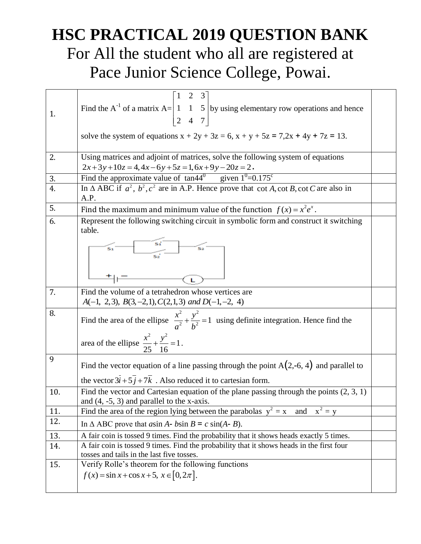## **HSC PRACTICAL 2019 QUESTION BANK** For All the student who all are registered at Pace Junior Science College, Powai.

| 1.  | $\begin{bmatrix} 1 & 2 & 3 \end{bmatrix}$<br>Find the A <sup>-1</sup> of a matrix A= $\begin{vmatrix} 1 & 1 & 5 \\ 2 & 4 & 7 \end{vmatrix}$ by using elementary row operations and hence<br>solve the system of equations $x + 2y + 3z = 6$ , $x + y + 5z = 7,2x + 4y + 7z = 13$ . |  |
|-----|------------------------------------------------------------------------------------------------------------------------------------------------------------------------------------------------------------------------------------------------------------------------------------|--|
|     |                                                                                                                                                                                                                                                                                    |  |
| 2.  | Using matrices and adjoint of matrices, solve the following system of equations                                                                                                                                                                                                    |  |
|     | $2x+3y+10z = 4$ , $4x-6y+5z = 1$ , $6x+9y-20z = 2$ .                                                                                                                                                                                                                               |  |
| 3.  | Find the approximate value of $tan44^\circ$ given $1^\circ=0.175^\circ$                                                                                                                                                                                                            |  |
| 4.  | In $\triangle$ ABC if $a^2$ , $b^2$ , $c^2$ are in A.P. Hence prove that cot A, cot B, cot C are also in                                                                                                                                                                           |  |
|     | A.P.                                                                                                                                                                                                                                                                               |  |
| 5.  |                                                                                                                                                                                                                                                                                    |  |
|     | Find the maximum and minimum value of the function $f(x) = x^2 e^x$ .                                                                                                                                                                                                              |  |
| 6.  | Represent the following switching circuit in symbolic form and construct it switching                                                                                                                                                                                              |  |
|     | table.                                                                                                                                                                                                                                                                             |  |
|     | Sí                                                                                                                                                                                                                                                                                 |  |
|     |                                                                                                                                                                                                                                                                                    |  |
|     |                                                                                                                                                                                                                                                                                    |  |
|     |                                                                                                                                                                                                                                                                                    |  |
|     |                                                                                                                                                                                                                                                                                    |  |
| 7.  | Find the volume of a tetrahedron whose vertices are                                                                                                                                                                                                                                |  |
|     |                                                                                                                                                                                                                                                                                    |  |
|     | $A(-1, 2, 3), B(3, -2, 1), C(2, 1, 3)$ and $D(-1, -2, 4)$                                                                                                                                                                                                                          |  |
| 8.  | Find the area of the ellipse $\frac{x^2}{a^2} + \frac{y^2}{b^2} = 1$ using definite integration. Hence find the                                                                                                                                                                    |  |
|     |                                                                                                                                                                                                                                                                                    |  |
|     | area of the ellipse $\frac{x^2}{25} + \frac{y^2}{16} = 1$ .                                                                                                                                                                                                                        |  |
|     |                                                                                                                                                                                                                                                                                    |  |
| 9   | Find the vector equation of a line passing through the point $A(2,-6, 4)$ and parallel to                                                                                                                                                                                          |  |
|     |                                                                                                                                                                                                                                                                                    |  |
|     | the vector $3i + 5j + 7k$ . Also reduced it to cartesian form.                                                                                                                                                                                                                     |  |
| 10. | Find the vector and Cartesian equation of the plane passing through the points $(2, 3, 1)$                                                                                                                                                                                         |  |
|     | and $(4, -5, 3)$ and parallel to the x-axis.                                                                                                                                                                                                                                       |  |
| 11. | $x^2 = y$<br>Find the area of the region lying between the parabolas $y^2 = x$ and                                                                                                                                                                                                 |  |
| 12. |                                                                                                                                                                                                                                                                                    |  |
|     | In $\triangle$ ABC prove that <i>asin A- bsin B = c sin(A-B)</i> .                                                                                                                                                                                                                 |  |
| 13. | A fair coin is tossed 9 times. Find the probability that it shows heads exactly 5 times.                                                                                                                                                                                           |  |
| 14. | A fair coin is tossed 9 times. Find the probability that it shows heads in the first four                                                                                                                                                                                          |  |
|     | tosses and tails in the last five tosses.                                                                                                                                                                                                                                          |  |
| 15. | Verify Rolle's theorem for the following functions                                                                                                                                                                                                                                 |  |
|     | $f(x) = \sin x + \cos x + 5, x \in [0, 2\pi].$                                                                                                                                                                                                                                     |  |
|     |                                                                                                                                                                                                                                                                                    |  |
|     |                                                                                                                                                                                                                                                                                    |  |